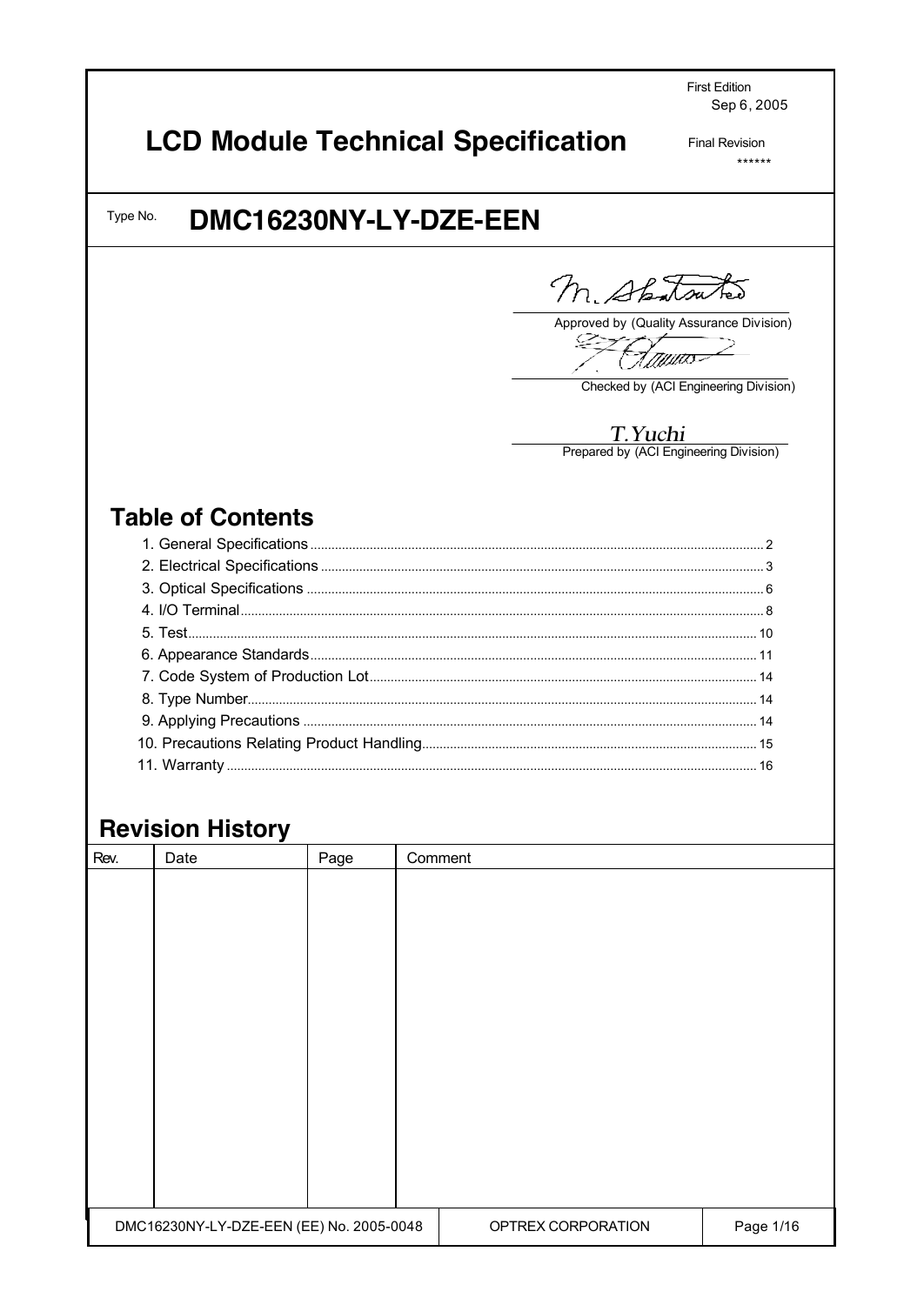**First Edition** Sep 6, 2005

# **LCD Module Technical Specification**

**Final Revision**  $******$ 

#### DMC16230NY-LY-DZE-EEN Type No.

M. Shatsutes

Approved by (Quality Assurance Division) فيستيليكه ZZ

t<sub>i</sub> gyur<del>es</del>

Checked by (ACI Engineering Division)

T. Yuchi<br>Prepared by (ACI Engineering Division)

# **Table of Contents**

## **Revision History**

| Rev.                                     | Date | Page | Comment            |           |  |
|------------------------------------------|------|------|--------------------|-----------|--|
|                                          |      |      |                    |           |  |
|                                          |      |      |                    |           |  |
|                                          |      |      |                    |           |  |
|                                          |      |      |                    |           |  |
|                                          |      |      |                    |           |  |
|                                          |      |      |                    |           |  |
|                                          |      |      |                    |           |  |
|                                          |      |      |                    |           |  |
|                                          |      |      |                    |           |  |
|                                          |      |      |                    |           |  |
|                                          |      |      |                    |           |  |
|                                          |      |      |                    |           |  |
|                                          |      |      |                    |           |  |
| DMC16230NY-LY-DZE-EEN (EE) No. 2005-0048 |      |      | OPTREX CORPORATION | Page 1/16 |  |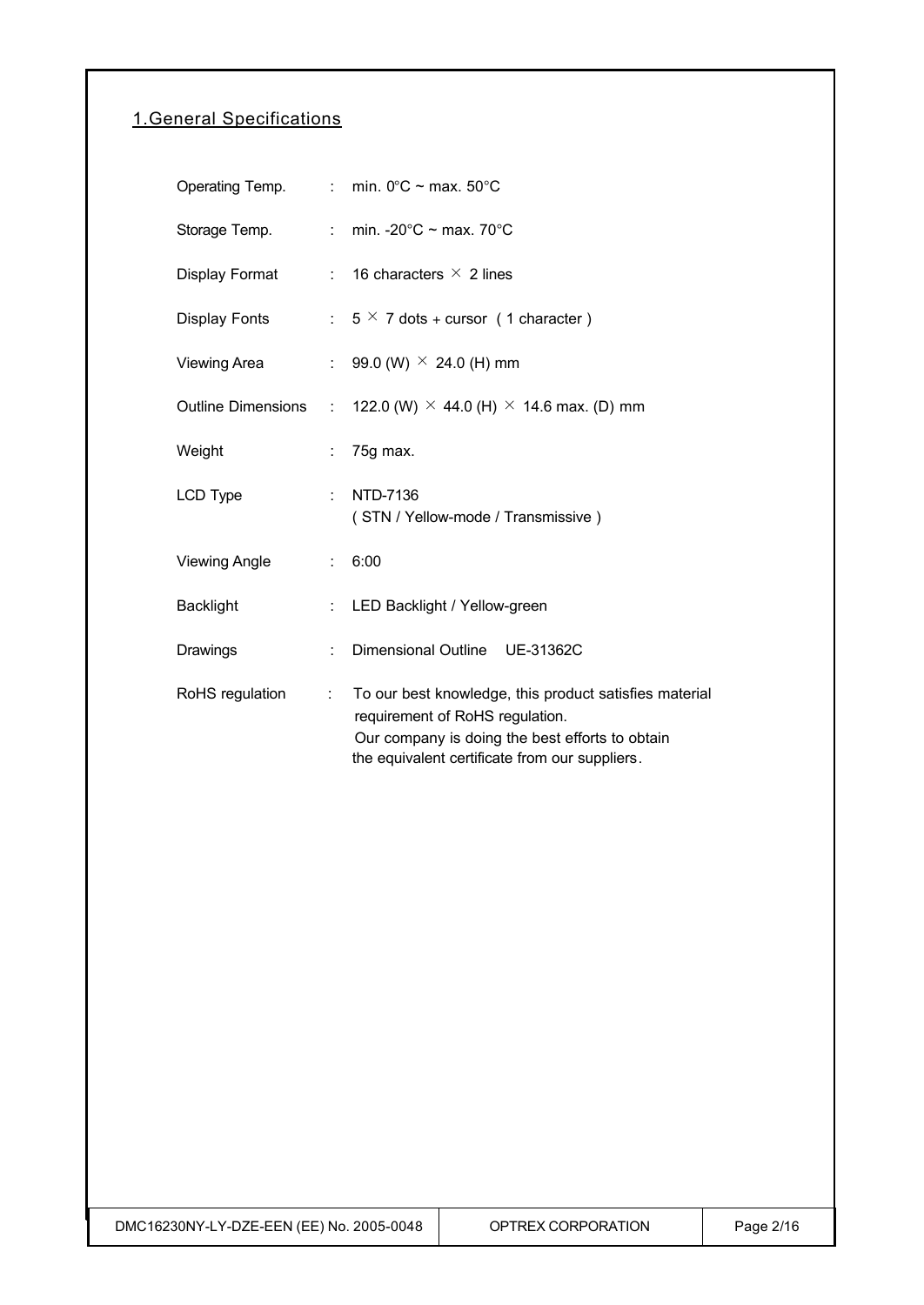### 1.General Specifications

|                      |                           | Operating Temp. : min. $0^{\circ}$ C ~ max. 50 $^{\circ}$ C                                                                                                                                    |
|----------------------|---------------------------|------------------------------------------------------------------------------------------------------------------------------------------------------------------------------------------------|
| Storage Temp.        |                           | : min. - $20^{\circ}$ C ~ max. 70 $^{\circ}$ C                                                                                                                                                 |
| Display Format       |                           | : 16 characters $\times$ 2 lines                                                                                                                                                               |
| Display Fonts        |                           | : $5 \times 7$ dots + cursor (1 character)                                                                                                                                                     |
| Viewing Area         |                           | : 99.0 (W) $\times$ 24.0 (H) mm                                                                                                                                                                |
| Outline Dimensions : |                           | 122.0 (W) $\times$ 44.0 (H) $\times$ 14.6 max. (D) mm                                                                                                                                          |
| Weight               | ÷                         | 75g max.                                                                                                                                                                                       |
| LCD Type             | ÷.                        | NTD-7136<br>(STN / Yellow-mode / Transmissive)                                                                                                                                                 |
| <b>Viewing Angle</b> | $\mathbb{R}^{\mathbb{Z}}$ | 6:00                                                                                                                                                                                           |
| <b>Backlight</b>     | ÷.                        | LED Backlight / Yellow-green                                                                                                                                                                   |
| Drawings             | ÷                         | Dimensional Outline UE-31362C                                                                                                                                                                  |
| RoHS regulation      | t.                        | To our best knowledge, this product satisfies material<br>requirement of RoHS regulation.<br>Our company is doing the best efforts to obtain<br>the equivalent certificate from our suppliers. |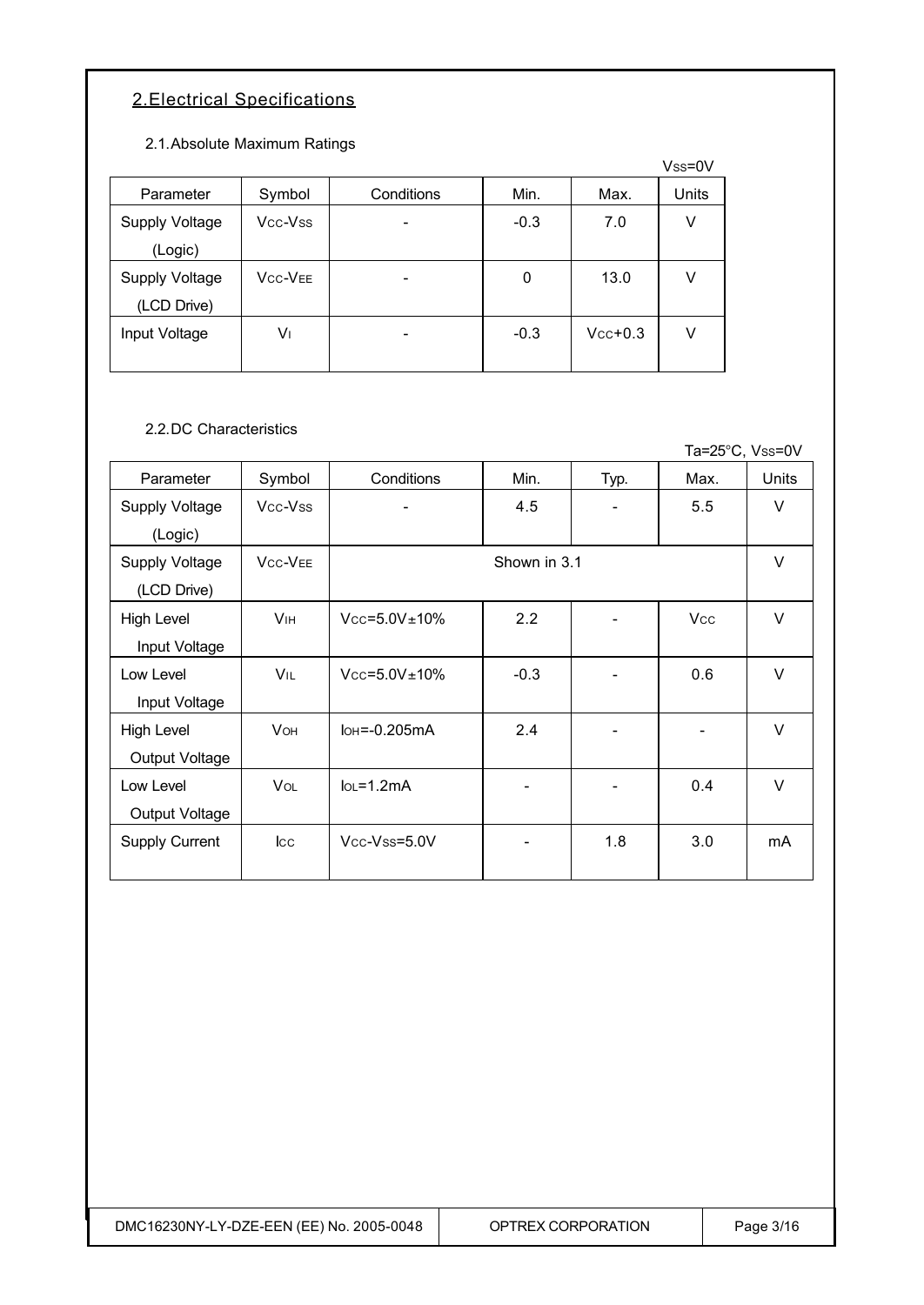### 2.Electrical Specifications

2.1.Absolute Maximum Ratings

|                       |                |            |        |           | Vss=0V |
|-----------------------|----------------|------------|--------|-----------|--------|
| Parameter             | Symbol         | Conditions | Min.   | Max.      | Units  |
| Supply Voltage        | Vcc-Vss        |            | $-0.3$ | 7.0       | V      |
| (Logic)               |                |            |        |           |        |
| <b>Supply Voltage</b> | <b>VCC-VEE</b> |            | 0      | 13.0      | v      |
| (LCD Drive)           |                |            |        |           |        |
| Input Voltage         | V١             |            | $-0.3$ | $Vcc+0.3$ | v      |
|                       |                |            |        |           |        |

#### 2.2.DC Characteristics

Ta=25°C, Vss=0V Parameter Symbol Conditions Min. Typ. Max. Units Supply Voltage (Logic) Vcc-Vss | - | 4.5 | - | 5.5 | V Supply Voltage (LCD Drive) VCC-VEE V High Level Input Voltage  $V_{\text{IH}}$   $V_{\text{CC}} = 5.0V \pm 10\%$   $2.2$   $-1$   $-1$   $V_{\text{CC}}$   $V$ Low Level Input Voltage  $V_{IL}$   $V_{CC}=5.0V\pm10\%$   $-0.3$   $-1$   $-0.6$   $V$ High Level Output Voltage  $V$ OH  $\bigcup$  IOH = -0.205 mA  $\bigcup$  2.4  $\bigcup$  -  $\bigcup$  -  $\bigcup$  V Low Level Output Voltage  $V$ OL  $\begin{array}{|c|c|c|c|c|c|c|c|c|} \hline \end{array}$  lo\_1.2mA  $\begin{array}{|c|c|c|c|c|c|c|c|} \hline \end{array}$  -  $\begin{array}{|c|c|c|c|c|c|} \hline \end{array}$  - 0.4 V Supply Current | Icc | Vcc-Vss=5.0V | - | 1.8 | 3.0 | mA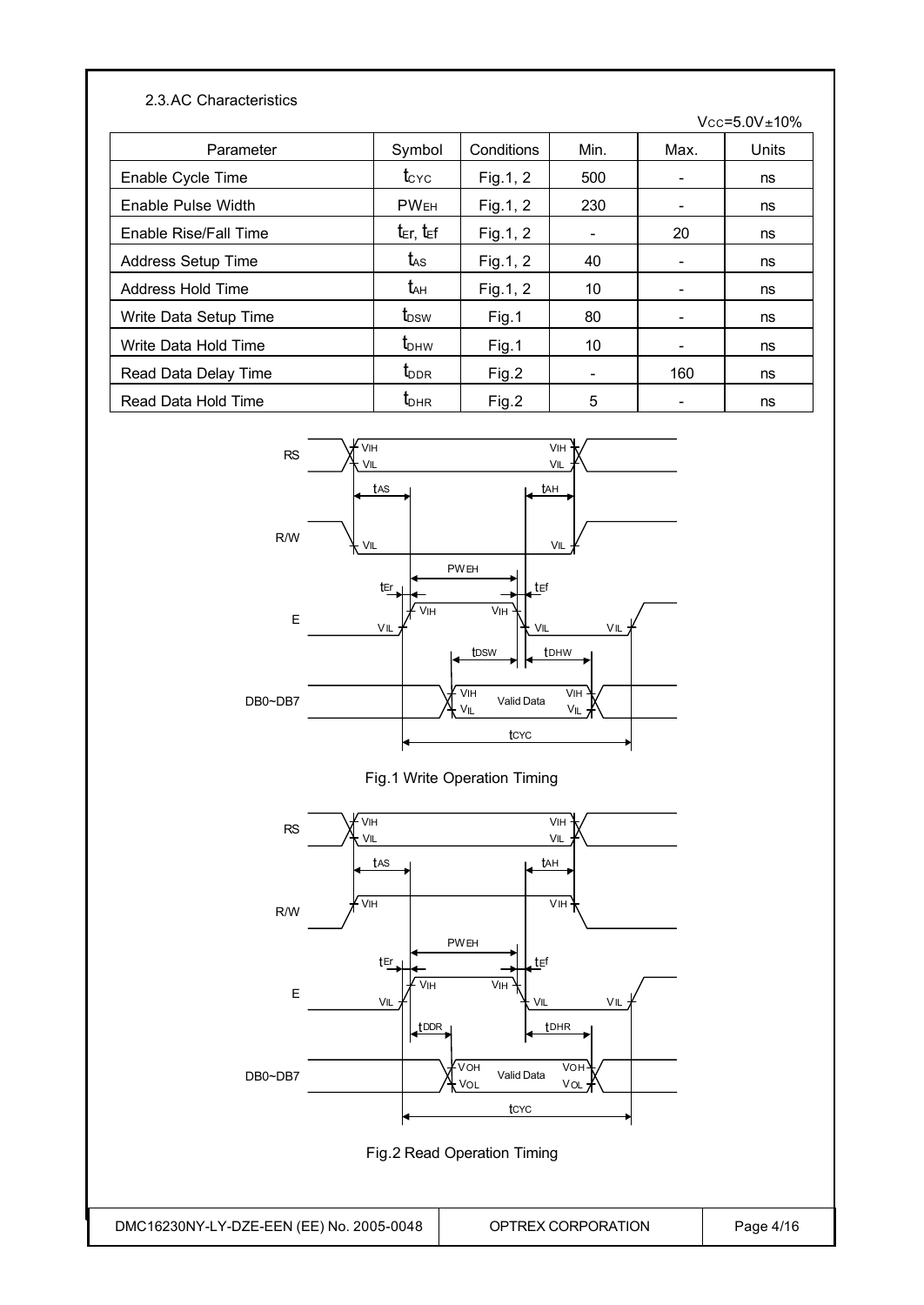#### 2.3.AC Characteristics

 $Vcc = 5.0V \pm 10%$ 

| Parameter                | Symbol                             | Conditions | Min. | Max.                     | Units |
|--------------------------|------------------------------------|------------|------|--------------------------|-------|
| Enable Cycle Time        | $t_{\rm CYC}$                      | Fig. 1, 2  | 500  | $\overline{\phantom{a}}$ | ns    |
| Enable Pulse Width       | <b>PWEH</b>                        | Fig. 1, 2  | 230  | $\overline{\phantom{a}}$ | ns    |
| Enable Rise/Fall Time    | $t_{\text{E}}$ r, $t_{\text{E}}$ f | Fig.1, 2   |      | 20                       | ns    |
| Address Setup Time       | tas                                | Fig. 1, 2  | 40   |                          | ns    |
| <b>Address Hold Time</b> | t <sub>ан</sub>                    | Fig.1, 2   | 10   |                          | ns    |
| Write Data Setup Time    | t <sub>DSW</sub>                   | Fig.1      | 80   | $\overline{\phantom{a}}$ | ns    |
| Write Data Hold Time     | $t_{\text{DHW}}$                   | Fig.1      | 10   | $\overline{\phantom{a}}$ | ns    |
| Read Data Delay Time     | <b>L</b> <sub>DDR</sub>            | Fig.2      |      | 160                      | ns    |
| Read Data Hold Time      | $t_{\text{DHR}}$                   | Fig.2      | 5    | -                        | ns    |







Fig.2 Read Operation Timing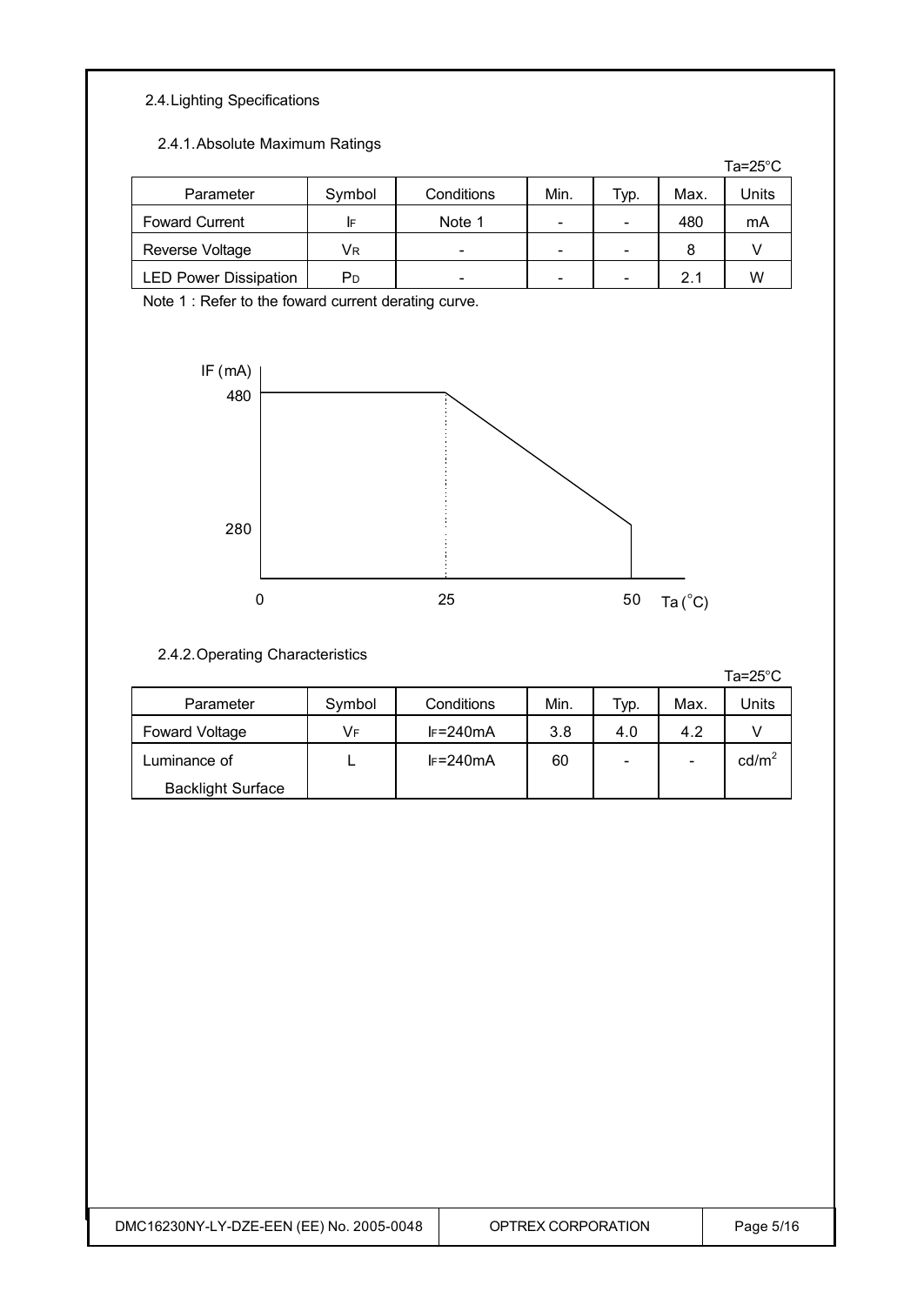#### 2.4.Lighting Specifications

#### 2.4.1.Absolute Maximum Ratings

|                              |        |            |                          |      |      | Ta=25 $^{\circ}$ C |
|------------------------------|--------|------------|--------------------------|------|------|--------------------|
| Parameter                    | Symbol | Conditions | Min.                     | Typ. | Max. | Units              |
| <b>Foward Current</b>        | IF     | Note 1     | $\overline{\phantom{0}}$ |      | 480  | mA                 |
| Reverse Voltage              | Vr     | -          | -                        |      | 8    |                    |
| <b>LED Power Dissipation</b> | PD     |            | $\overline{\phantom{0}}$ |      | 21   | W                  |

Note 1 : Refer to the foward current derating curve.



#### 2.4.2.Operating Characteristics

Ta=25°C

| Parameter                | Symbol | Conditions  | Min. | Typ. | Max. | Jnits             |
|--------------------------|--------|-------------|------|------|------|-------------------|
| <b>Foward Voltage</b>    | VF     | $F = 240mA$ | 3.8  | 4.0  | 4.2  |                   |
| Luminance of             |        | $F = 240mA$ | 60   |      | -    | cd/m <sup>2</sup> |
| <b>Backlight Surface</b> |        |             |      |      |      |                   |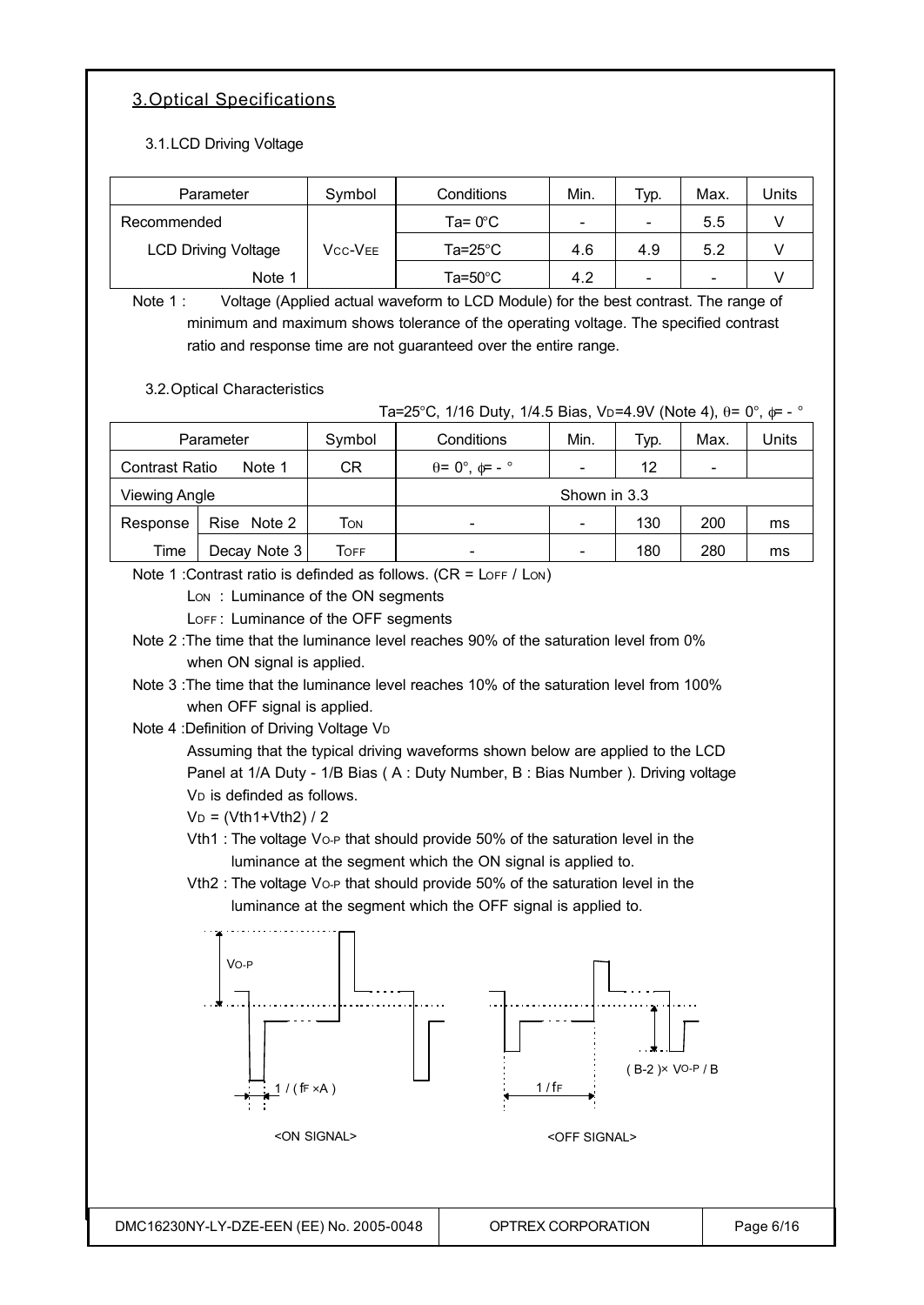### 3.Optical Specifications

3.1.LCD Driving Voltage

| Parameter                  | Symbol  | Conditions        | Min. | Typ. | Max. | Units |
|----------------------------|---------|-------------------|------|------|------|-------|
| Recommended                |         | Ta= $0^{\circ}$ C | -    | -    | 5.5  |       |
| <b>LCD Driving Voltage</b> | Vcc-Vee | Ta=25°C           | 4.6  | 4.9  | 5.2  |       |
| Note 1                     |         | Ta=50°C           | 4.2  | -    | -    |       |

Note 1 : Voltage (Applied actual waveform to LCD Module) for the best contrast. The range of minimum and maximum shows tolerance of the operating voltage. The specified contrast ratio and response time are not guaranteed over the entire range.

3.2.Optical Characteristics

Ta=25°C, 1/16 Duty, 1/4.5 Bias, V<sub>D</sub>=4.9V (Note 4),  $\theta$ = 0°,  $\phi$ = - °

|                       | Parameter    | Symbol | Conditions                           | Typ. | Max. | Units |    |
|-----------------------|--------------|--------|--------------------------------------|------|------|-------|----|
| <b>Contrast Ratio</b> | Note 1       | CR     | $\theta = 0^\circ$ , $\phi = -\circ$ | 12   |      |       |    |
| <b>Viewing Angle</b>  |              |        | Shown in 3.3                         |      |      |       |    |
| Response              | Rise Note 2  | Том    | $\overline{\phantom{0}}$             |      | 130  | 200   | ms |
| Time                  | Decay Note 3 | Гоғғ   | -                                    |      | 180  | 280   | ms |

Note 1 : Contrast ratio is definded as follows.  $(CR = \text{LOF } / \text{LON})$ 

Lon: Luminance of the ON segments

LOFF: Luminance of the OFF segments

Note 2 :The time that the luminance level reaches 90% of the saturation level from 0% when ON signal is applied.

Note 3 :The time that the luminance level reaches 10% of the saturation level from 100% when OFF signal is applied.

Note 4 : Definition of Driving Voltage VD

Assuming that the typical driving waveforms shown below are applied to the LCD Panel at 1/A Duty - 1/B Bias ( A : Duty Number, B : Bias Number ). Driving voltage V<sub>D</sub> is definded as follows.

#### $V_D = (Vth1+Vth2)/2$

Vth1 : The voltage Vo-P that should provide 50% of the saturation level in the luminance at the segment which the ON signal is applied to.

Vth2 : The voltage Vo-P that should provide 50% of the saturation level in the luminance at the segment which the OFF signal is applied to.

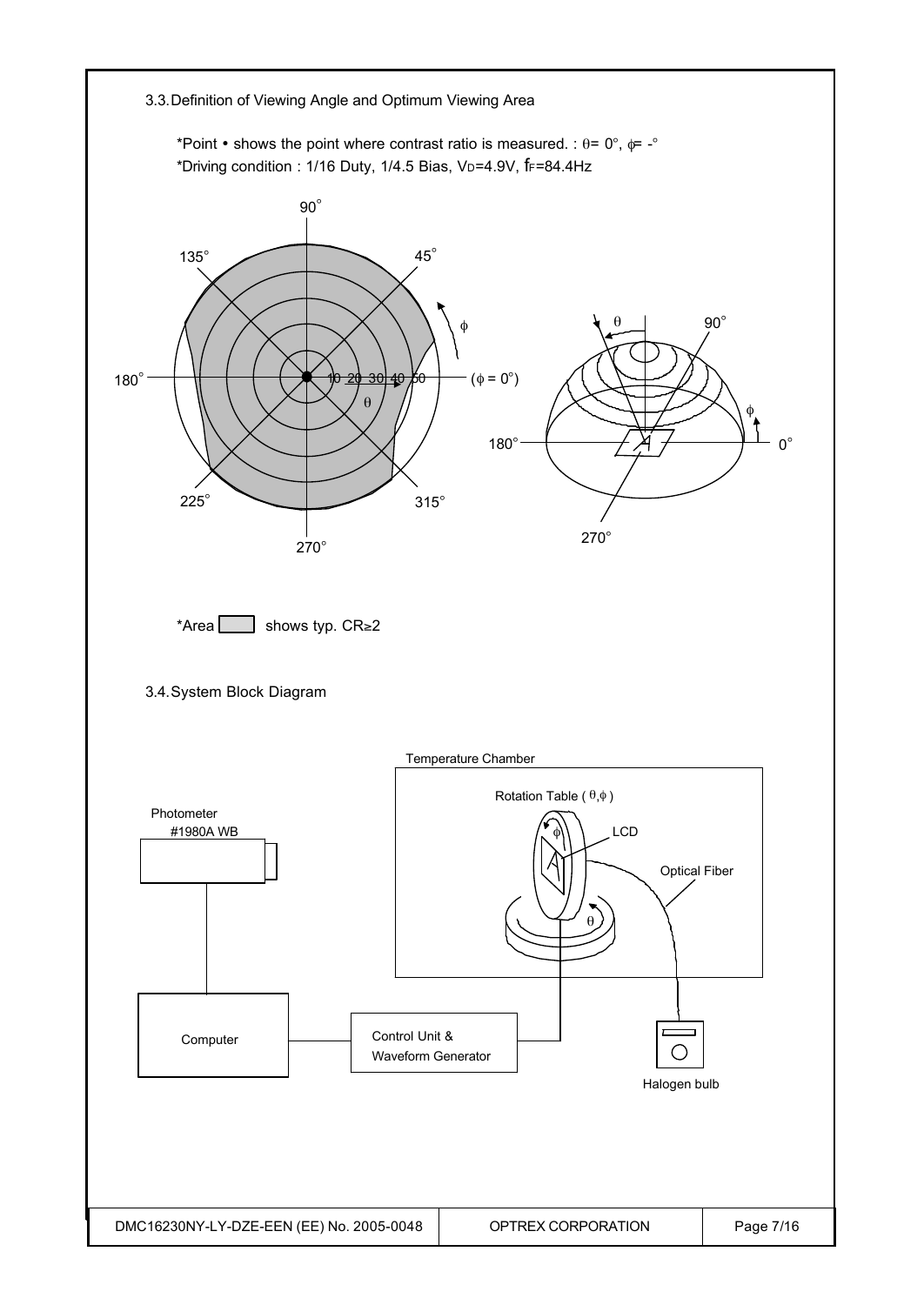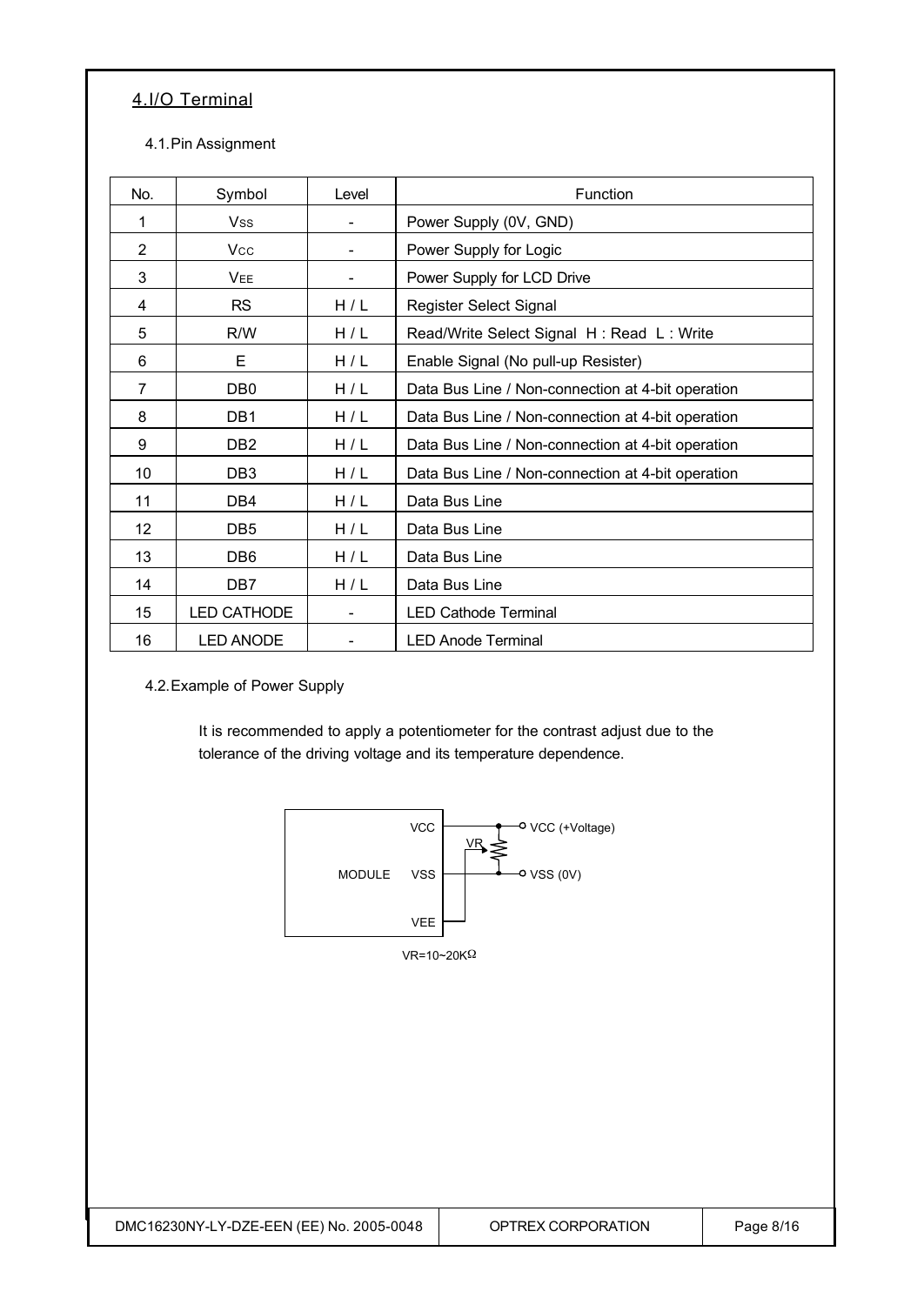### 4.I/O Terminal

#### 4.1.Pin Assignment

| No.            | Symbol             | Level | Function                                          |
|----------------|--------------------|-------|---------------------------------------------------|
| 1              | Vss                |       | Power Supply (0V, GND)                            |
| $\overline{2}$ | <b>Vcc</b>         |       | Power Supply for Logic                            |
| 3              | <b>VEE</b>         |       | Power Supply for LCD Drive                        |
| 4              | <b>RS</b>          | H/L   | Register Select Signal                            |
| 5              | R/W                | H/L   | Read/Write Select Signal H: Read L: Write         |
| 6              | Е                  | H/L   | Enable Signal (No pull-up Resister)               |
| $\overline{7}$ | DB <sub>0</sub>    | H/L   | Data Bus Line / Non-connection at 4-bit operation |
| 8              | DB1                | H/L   | Data Bus Line / Non-connection at 4-bit operation |
| 9              | DB <sub>2</sub>    | H/L   | Data Bus Line / Non-connection at 4-bit operation |
| 10             | DB <sub>3</sub>    | H/L   | Data Bus Line / Non-connection at 4-bit operation |
| 11             | DB4                | H/L   | Data Bus Line                                     |
| 12             | DB <sub>5</sub>    | H/L   | Data Bus Line                                     |
| 13             | DB <sub>6</sub>    | H/L   | Data Bus Line                                     |
| 14             | DB7                | H/L   | Data Bus Line                                     |
| 15             | <b>LED CATHODE</b> |       | <b>LED Cathode Terminal</b>                       |
| 16             | <b>LED ANODE</b>   |       | <b>LED Anode Terminal</b>                         |

4.2.Example of Power Supply

It is recommended to apply a potentiometer for the contrast adjust due to the tolerance of the driving voltage and its temperature dependence.

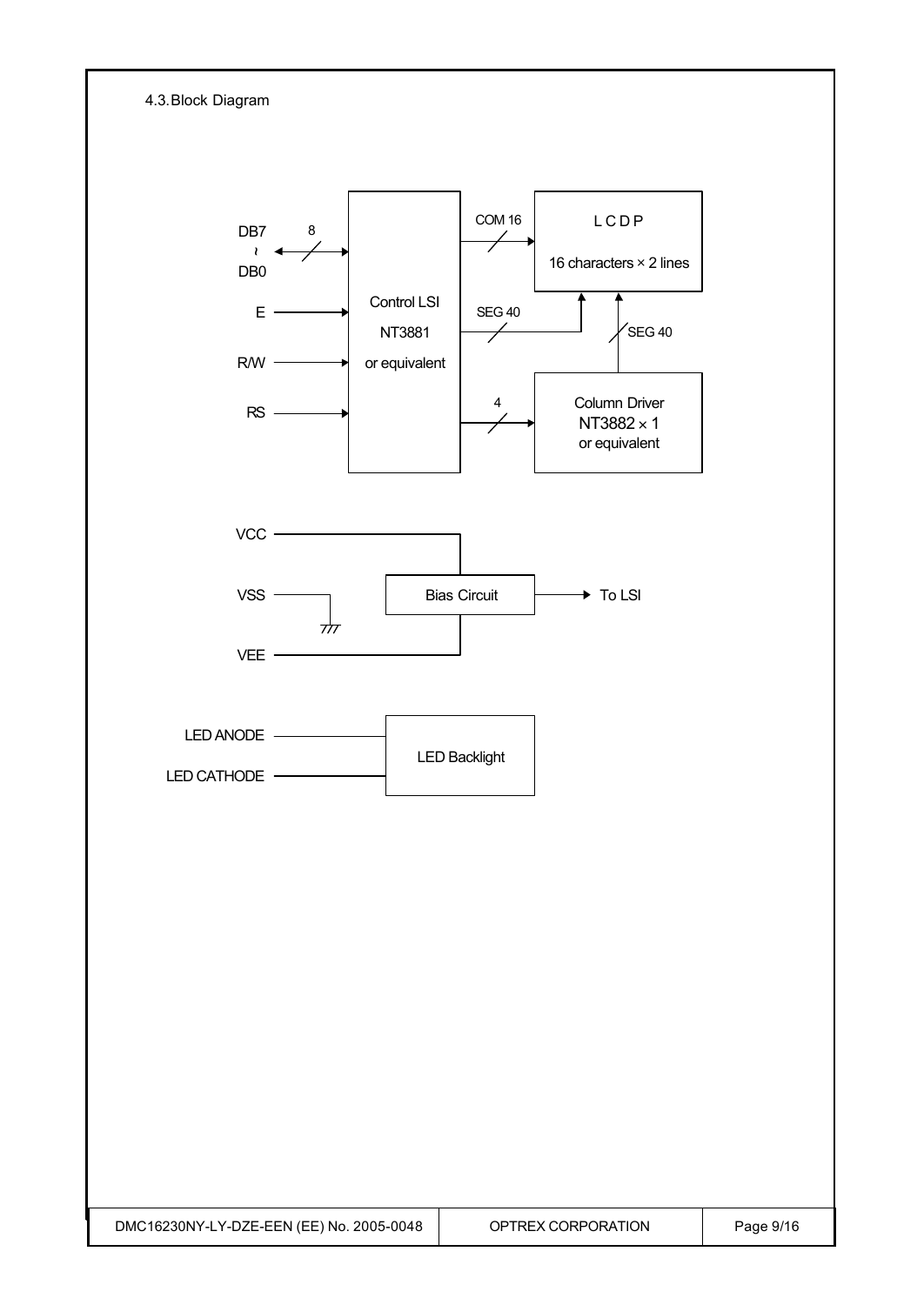| 4.3. Block Diagram                                              |                                                   |                                                    |                                                                                                                         |           |
|-----------------------------------------------------------------|---------------------------------------------------|----------------------------------------------------|-------------------------------------------------------------------------------------------------------------------------|-----------|
| DB7<br>$\pmb{\wr}$<br>DB <sub>0</sub><br>E.<br><b>R/W</b><br>RS | $\bf 8$<br>Control LSI<br>NT3881<br>or equivalent | COM 16<br><b>SEG 40</b><br>$\overline{\mathbf{4}}$ | LCDP<br>16 characters $\times$ 2 lines<br>$\sqrt{\text{SEG}}$ 40<br>Column Driver<br>NT3882 $\times$ 1<br>or equivalent |           |
| VCC<br><b>VSS</b><br>VEE -                                      | क्रे                                              | <b>Bias Circuit</b>                                | $\rightarrow$ To LSI                                                                                                    |           |
| LED ANODE<br>LED CATHODE                                        |                                                   | <b>LED Backlight</b>                               |                                                                                                                         |           |
|                                                                 |                                                   |                                                    |                                                                                                                         |           |
|                                                                 |                                                   |                                                    |                                                                                                                         |           |
| DMC16230NY-LY-DZE-EEN (EE) No. 2005-0048                        |                                                   |                                                    | OPTREX CORPORATION                                                                                                      | Page 9/16 |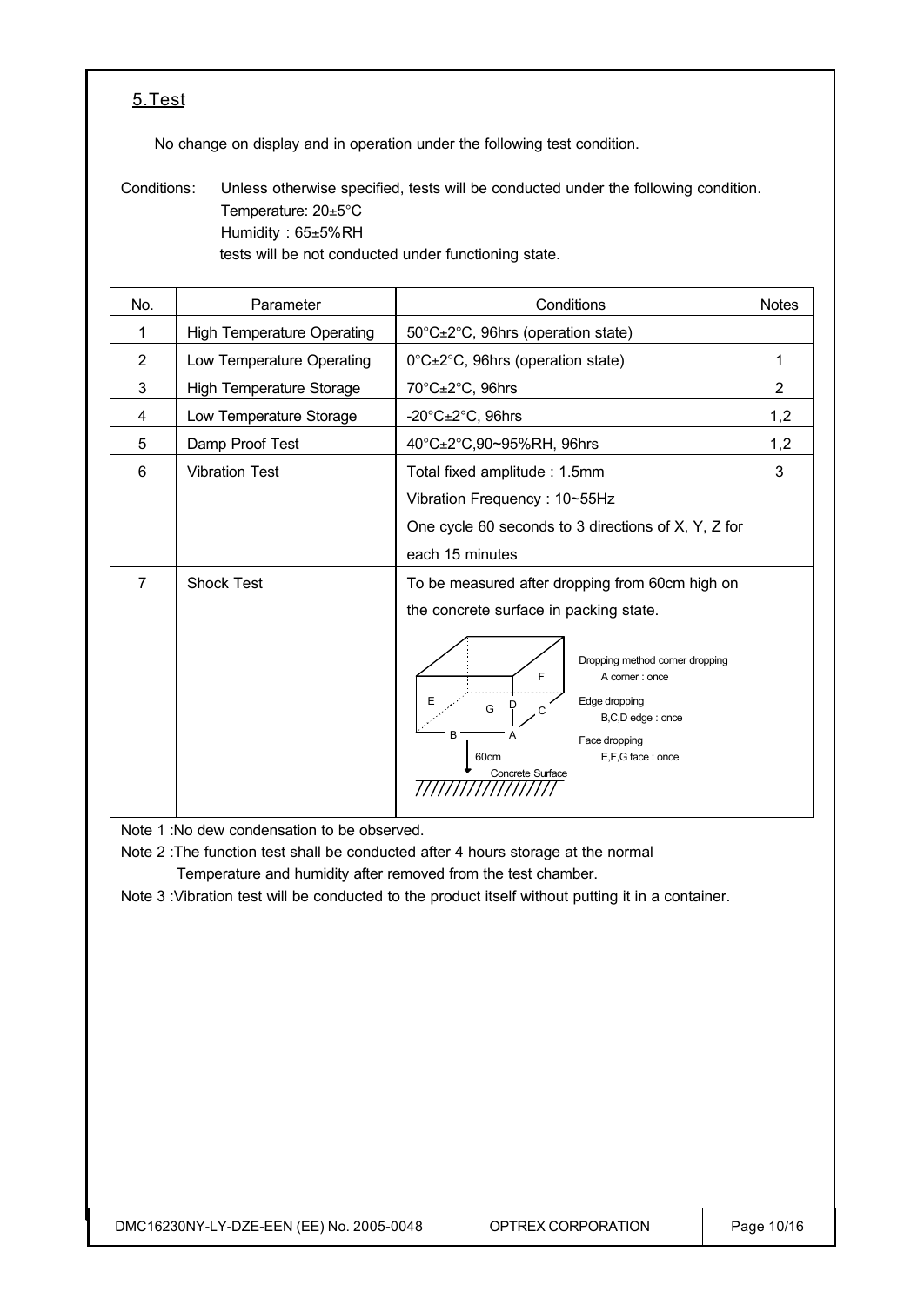#### 5.Test

No change on display and in operation under the following test condition.

Conditions: Unless otherwise specified, tests will be conducted under the following condition. Temperature: 20±5°C Humidity : 65±5%RH tests will be not conducted under functioning state.

| No.            | Parameter                         | Conditions                                                                                                                                                                                                                                                           | <b>Notes</b> |
|----------------|-----------------------------------|----------------------------------------------------------------------------------------------------------------------------------------------------------------------------------------------------------------------------------------------------------------------|--------------|
| 1              | <b>High Temperature Operating</b> | 50°C±2°C, 96hrs (operation state)                                                                                                                                                                                                                                    |              |
| $\overline{2}$ | Low Temperature Operating         | 0°C±2°C, 96hrs (operation state)                                                                                                                                                                                                                                     | 1            |
| 3              | <b>High Temperature Storage</b>   | 70°C±2°C, 96hrs                                                                                                                                                                                                                                                      | 2            |
| 4              | Low Temperature Storage           | -20 $^{\circ}$ C $\pm$ 2 $^{\circ}$ C, 96hrs                                                                                                                                                                                                                         | 1,2          |
| 5              | Damp Proof Test                   | 40°C±2°C,90~95%RH, 96hrs                                                                                                                                                                                                                                             | 1,2          |
| 6              | <b>Vibration Test</b>             | Total fixed amplitude: 1.5mm<br>Vibration Frequency: 10~55Hz<br>One cycle 60 seconds to 3 directions of X, Y, Z for<br>each 15 minutes                                                                                                                               | 3            |
| $\overline{7}$ | <b>Shock Test</b>                 | To be measured after dropping from 60cm high on<br>the concrete surface in packing state.<br>Dropping method corner dropping<br>F<br>A corner : once<br>Edge dropping<br>G<br>B,C,D edge: once<br>B<br>Face dropping<br>E,F,G face: once<br>60cm<br>Concrete Surface |              |

Note 1 :No dew condensation to be observed.

Note 2 :The function test shall be conducted after 4 hours storage at the normal Temperature and humidity after removed from the test chamber.

Note 3 :Vibration test will be conducted to the product itself without putting it in a container.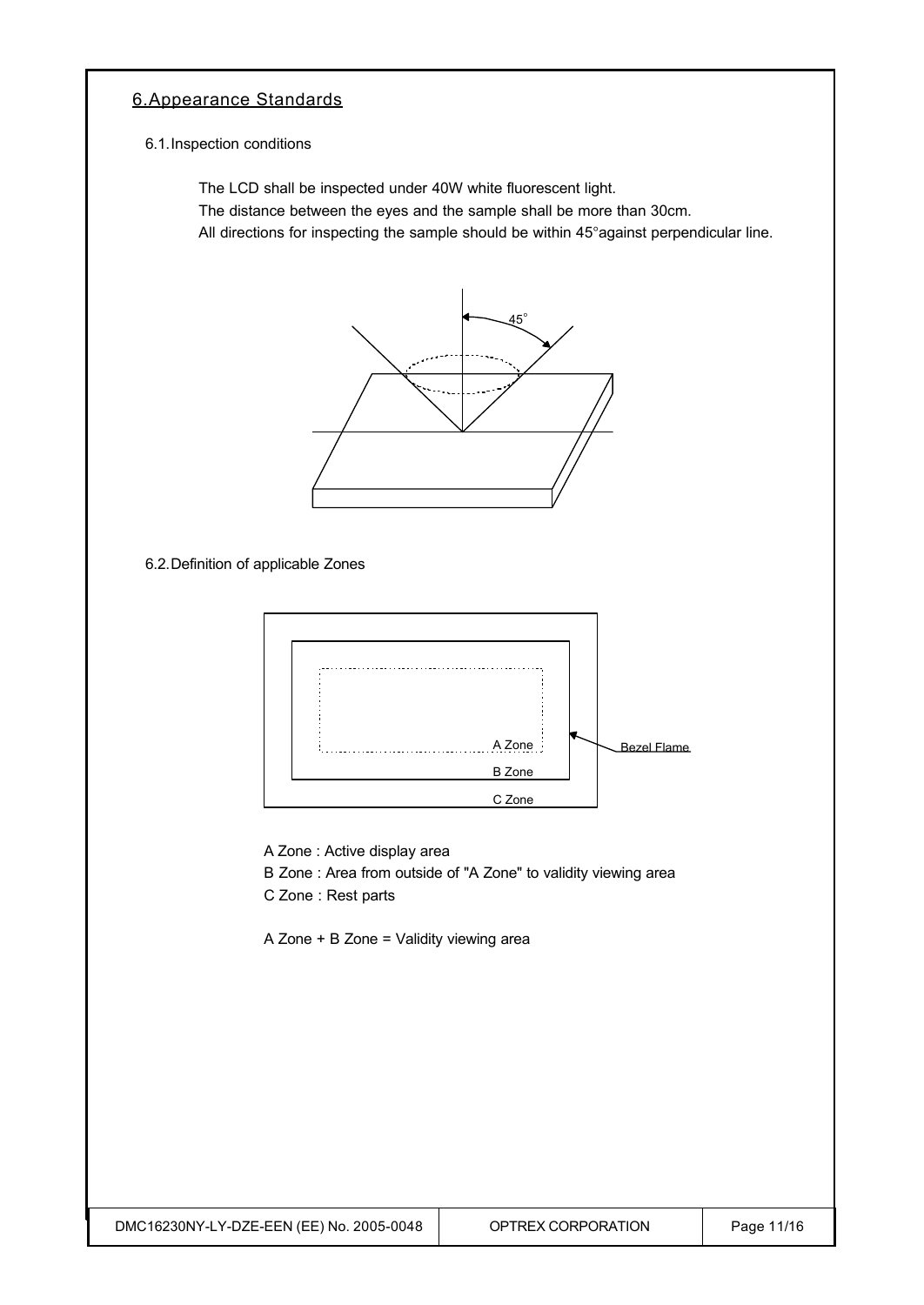#### 6.Appearance Standards

6.1.Inspection conditions

The LCD shall be inspected under 40W white fluorescent light.

The distance between the eyes and the sample shall be more than 30cm.

All directions for inspecting the sample should be within 45°against perpendicular line.



6.2.Definition of applicable Zones



A Zone : Active display area

B Zone : Area from outside of "A Zone" to validity viewing area

C Zone : Rest parts

A Zone + B Zone = Validity viewing area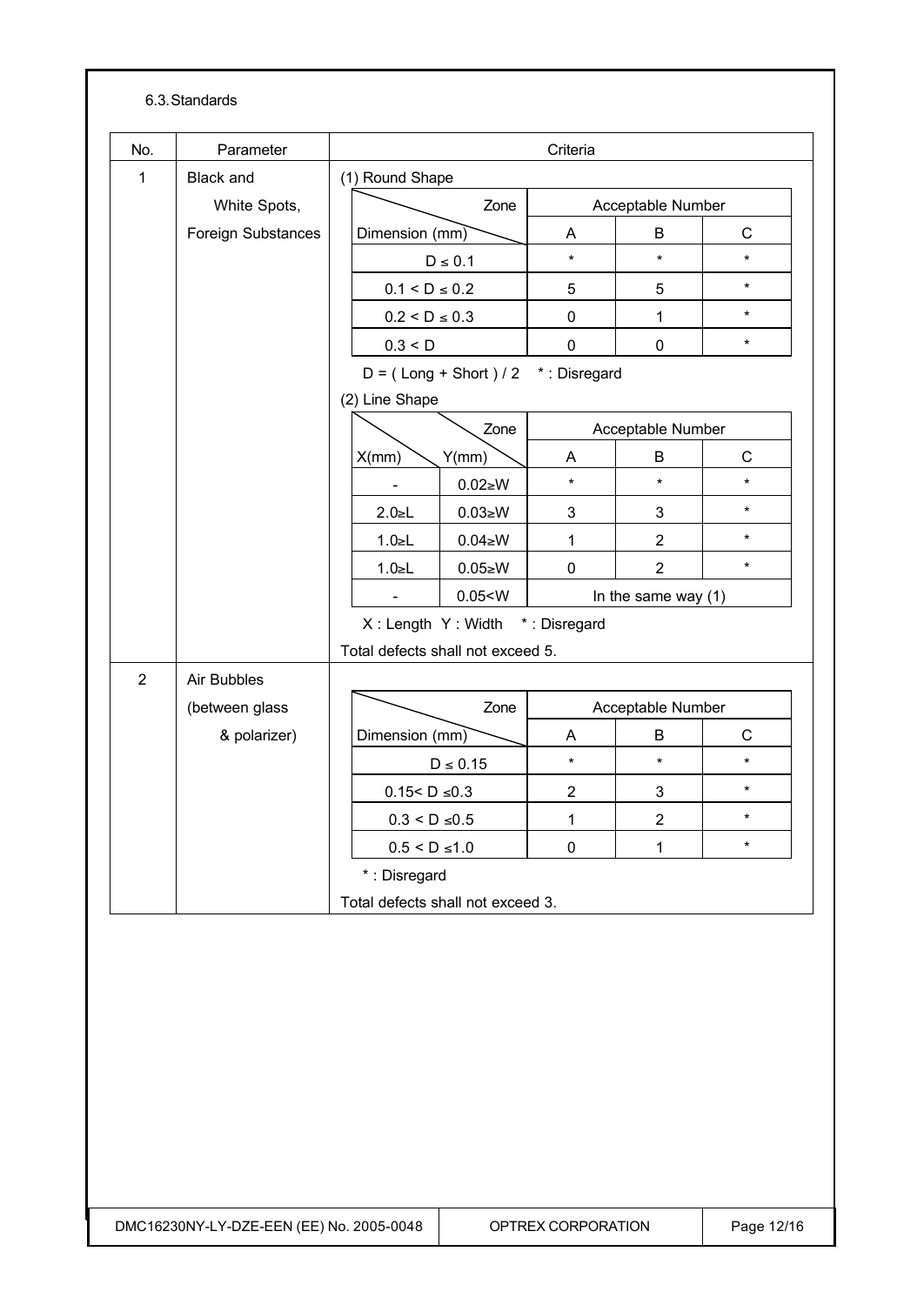|                | 6.3. Standards                      |                                                   |                                                                                |                                 |                       |                   |         |  |
|----------------|-------------------------------------|---------------------------------------------------|--------------------------------------------------------------------------------|---------------------------------|-----------------------|-------------------|---------|--|
| No.            | Parameter                           | Criteria                                          |                                                                                |                                 |                       |                   |         |  |
| 1              | <b>Black and</b>                    |                                                   | (1) Round Shape                                                                |                                 |                       |                   |         |  |
|                | White Spots,                        | Zone                                              |                                                                                |                                 | Acceptable Number     |                   |         |  |
|                | Foreign Substances                  |                                                   | Dimension $(mm)$                                                               |                                 | A                     | B                 | C       |  |
|                |                                     | $D \leq 0.1$                                      |                                                                                | $\star$                         | $\star$               | $\star$           |         |  |
|                |                                     | $0.1 < D \le 0.2$                                 |                                                                                | 5                               | 5                     | $\star$           |         |  |
|                |                                     |                                                   | $0.2 < D \le 0.3$<br>0.3 < D                                                   |                                 | $\mathbf 0$           | 1                 | $\star$ |  |
|                |                                     |                                                   |                                                                                |                                 | $\mathbf 0$           | $\mathbf 0$       | $\star$ |  |
|                | $D = (Long + Short)/2$ *: Disregard |                                                   |                                                                                |                                 |                       |                   |         |  |
|                |                                     |                                                   | (2) Line Shape                                                                 |                                 |                       |                   |         |  |
|                |                                     | Zone                                              |                                                                                |                                 | Acceptable Number     |                   |         |  |
|                |                                     |                                                   | X/mm                                                                           | Y(mm)                           | A                     | B                 | C       |  |
|                |                                     |                                                   |                                                                                | $0.02 \ge W$                    | $\star$               | $\star$           | $\star$ |  |
|                |                                     |                                                   | $2.0 \le L$                                                                    | $0.03 \ge W$                    | 3                     | 3                 | $\star$ |  |
|                |                                     |                                                   | $1.0 \le L$                                                                    | $0.04 \ge W$                    | 1                     | $\overline{2}$    | $\star$ |  |
|                |                                     |                                                   | $1.0 \le L$                                                                    | $0.05 \ge W$                    | $\mathbf 0$           | $\overline{2}$    | $\star$ |  |
|                |                                     |                                                   | 0.05 < W                                                                       |                                 | In the same way $(1)$ |                   |         |  |
|                |                                     |                                                   |                                                                                | X: Length Y: Width *: Disregard |                       |                   |         |  |
|                | Total defects shall not exceed 5.   |                                                   |                                                                                |                                 |                       |                   |         |  |
| $\overline{2}$ | Air Bubbles                         |                                                   |                                                                                |                                 |                       |                   |         |  |
|                | (between glass                      |                                                   | Zone                                                                           |                                 |                       | Acceptable Number |         |  |
|                | & polarizer)                        |                                                   | Dimension (mm)                                                                 |                                 | A                     | B                 | C       |  |
|                |                                     |                                                   | $D \leq 0.15$<br>$0.15 < D \le 0.3$<br>$0.3 < D \leq 0.5$<br>$0.5 < D \le 1.0$ |                                 | $\star$               | $\star$           | $\star$ |  |
|                |                                     |                                                   |                                                                                |                                 | $\overline{c}$        | 3                 | $\star$ |  |
|                |                                     |                                                   |                                                                                |                                 | $\mathbf{1}$          | $\overline{2}$    | $\star$ |  |
|                |                                     |                                                   |                                                                                |                                 | $\pmb{0}$             | $\mathbf{1}$      | $\star$ |  |
|                |                                     | *: Disregard<br>Total defects shall not exceed 3. |                                                                                |                                 |                       |                   |         |  |
|                |                                     |                                                   |                                                                                |                                 |                       |                   |         |  |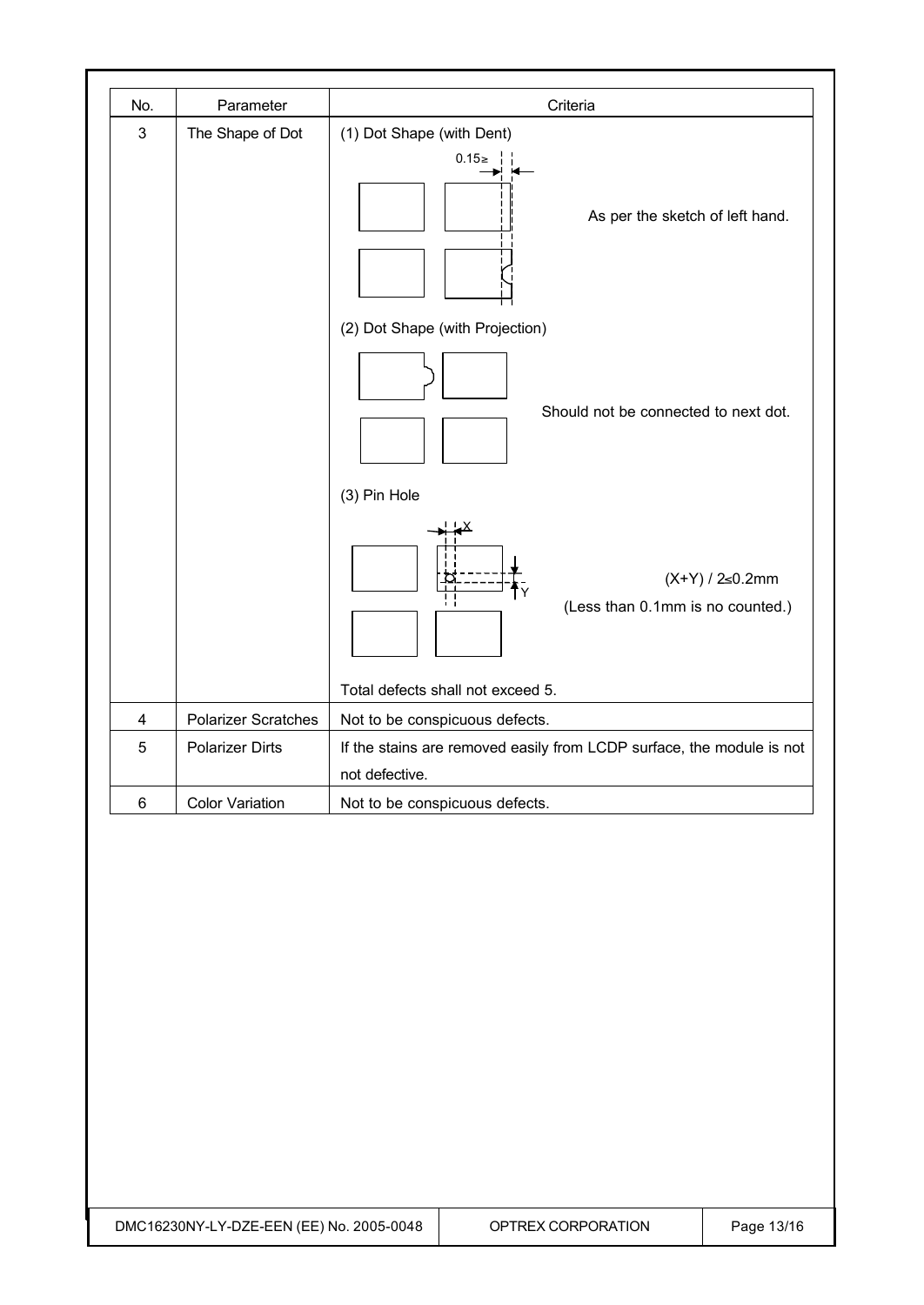| No.                       | Parameter                  | Criteria                                                                                |  |  |  |
|---------------------------|----------------------------|-----------------------------------------------------------------------------------------|--|--|--|
| $\ensuremath{\mathsf{3}}$ | The Shape of Dot           | (1) Dot Shape (with Dent)<br>$0.15 \ge \frac{1}{1}$<br>As per the sketch of left hand.  |  |  |  |
|                           |                            | (2) Dot Shape (with Projection)<br>Should not be connected to next dot.<br>(3) Pin Hole |  |  |  |
|                           |                            | $(X+Y) / 2 \le 0.2$ mm<br>(Less than 0.1mm is no counted.)                              |  |  |  |
|                           |                            | Total defects shall not exceed 5.                                                       |  |  |  |
| $\overline{\mathbf{4}}$   | <b>Polarizer Scratches</b> | Not to be conspicuous defects.                                                          |  |  |  |
| 5                         | <b>Polarizer Dirts</b>     | If the stains are removed easily from LCDP surface, the module is not                   |  |  |  |
| $\,6\,$                   | <b>Color Variation</b>     | not defective.                                                                          |  |  |  |
|                           |                            | Not to be conspicuous defects.                                                          |  |  |  |
|                           |                            |                                                                                         |  |  |  |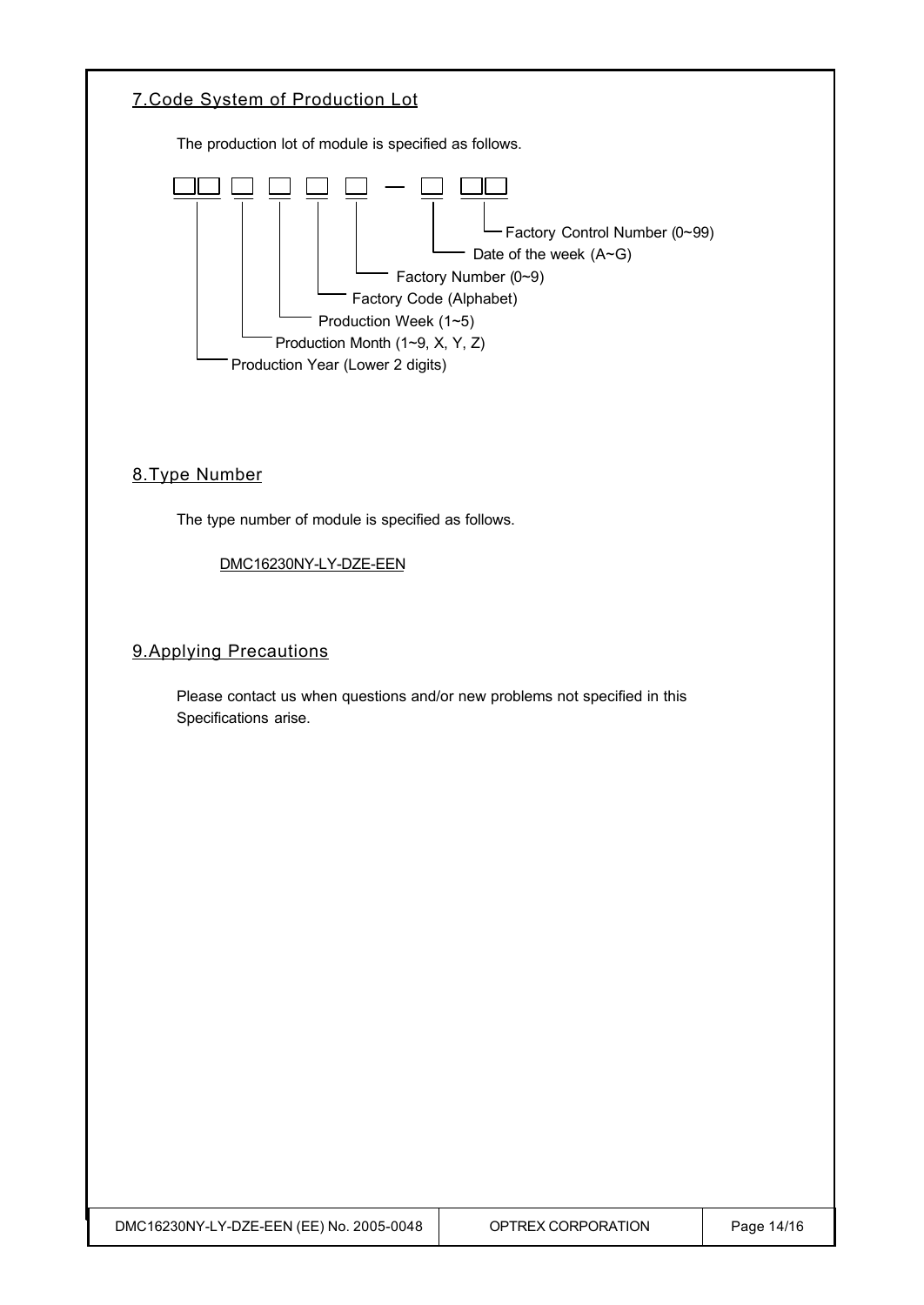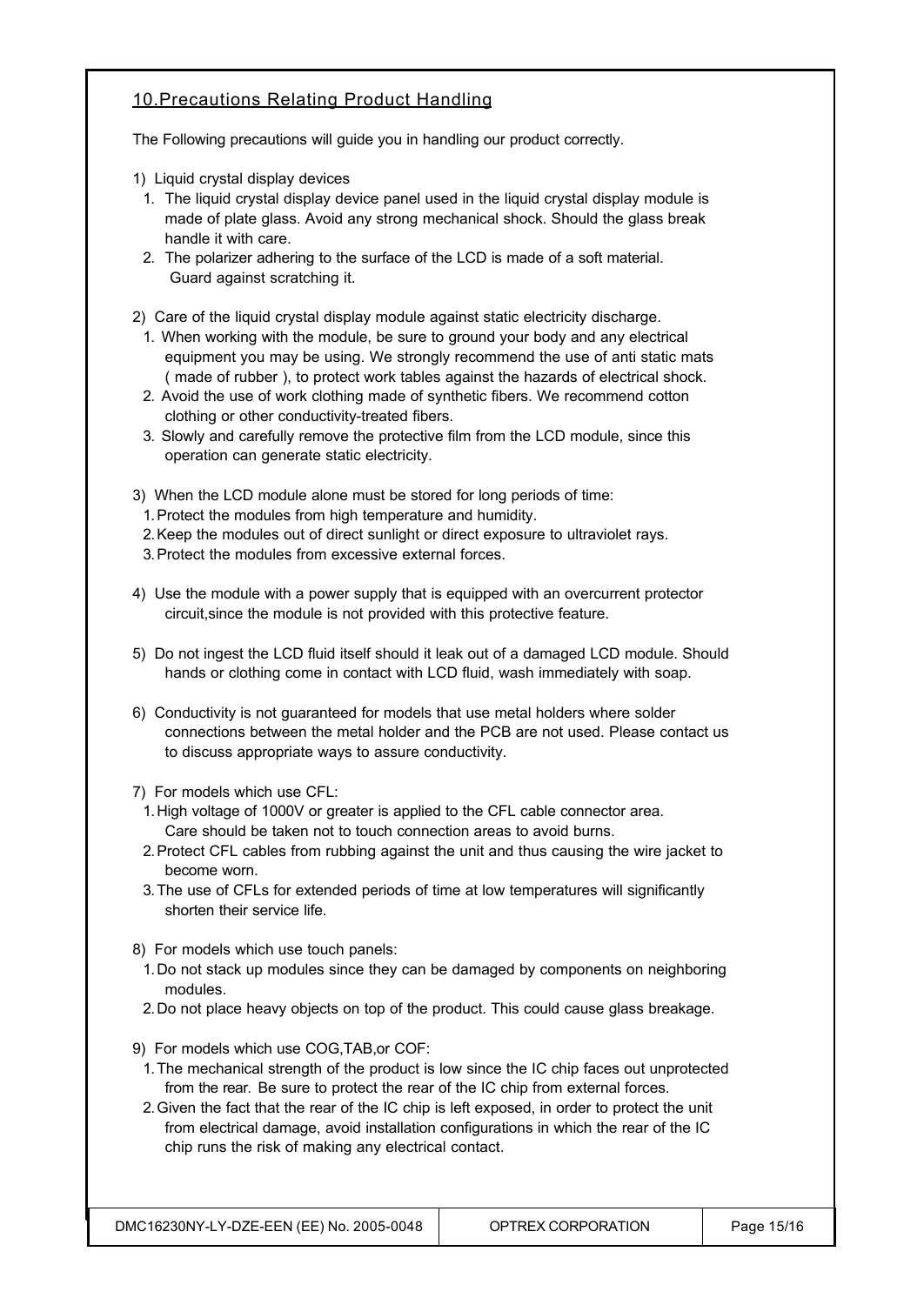#### 10.Precautions Relating Product Handling

The Following precautions will guide you in handling our product correctly.

- 1) Liquid crystal display devices
- 1. The liquid crystal display device panel used in the liquid crystal display module is made of plate glass. Avoid any strong mechanical shock. Should the glass break handle it with care.
- 2. The polarizer adhering to the surface of the LCD is made of a soft material. Guard against scratching it.
- 2) Care of the liquid crystal display module against static electricity discharge.
	- 1. When working with the module, be sure to ground your body and any electrical equipment you may be using. We strongly recommend the use of anti static mats ( made of rubber ), to protect work tables against the hazards of electrical shock.
	- 2. Avoid the use of work clothing made of synthetic fibers. We recommend cotton clothing or other conductivity-treated fibers.
	- 3. Slowly and carefully remove the protective film from the LCD module, since this operation can generate static electricity.
- 3) When the LCD module alone must be stored for long periods of time:
	- 1.Protect the modules from high temperature and humidity.
- 2.Keep the modules out of direct sunlight or direct exposure to ultraviolet rays.
- 3.Protect the modules from excessive external forces.
- 4) Use the module with a power supply that is equipped with an overcurrent protector circuit,since the module is not provided with this protective feature.
- 5) Do not ingest the LCD fluid itself should it leak out of a damaged LCD module. Should hands or clothing come in contact with LCD fluid, wash immediately with soap.
- 6) Conductivity is not guaranteed for models that use metal holders where solder connections between the metal holder and the PCB are not used. Please contact us to discuss appropriate ways to assure conductivity.
- 7) For models which use CFL:
- 1.High voltage of 1000V or greater is applied to the CFL cable connector area. Care should be taken not to touch connection areas to avoid burns.
- 2.Protect CFL cables from rubbing against the unit and thus causing the wire jacket to become worn.
- 3.The use of CFLs for extended periods of time at low temperatures will significantly shorten their service life.
- 8) For models which use touch panels:
- 1.Do not stack up modules since they can be damaged by components on neighboring modules.
- 2.Do not place heavy objects on top of the product. This could cause glass breakage.
- 9) For models which use COG,TAB,or COF:
- 1.The mechanical strength of the product is low since the IC chip faces out unprotected from the rear. Be sure to protect the rear of the IC chip from external forces.
- 2.Given the fact that the rear of the IC chip is left exposed, in order to protect the unit from electrical damage, avoid installation configurations in which the rear of the IC chip runs the risk of making any electrical contact.